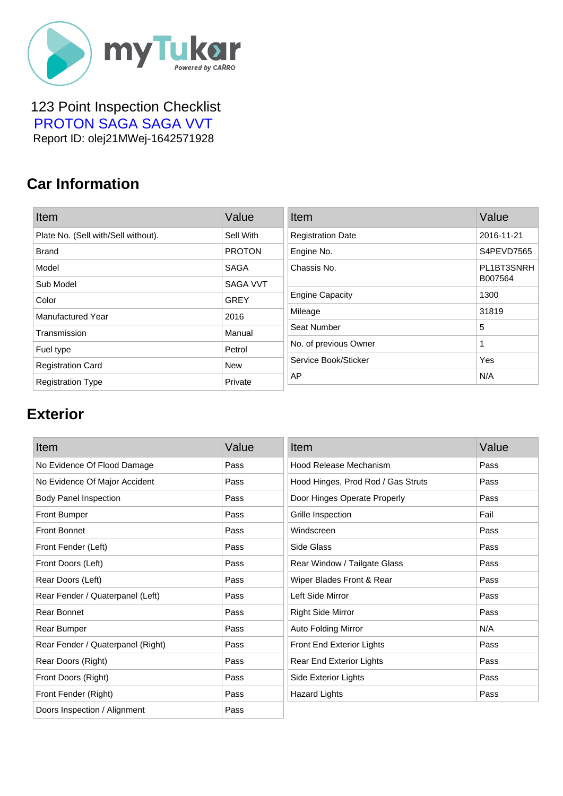

 123 Point Inspection Checklist  [PROTON SAGA SAGA VVT](https://mytukar.com/q/EZ2ZYK) Report ID: olej21MWej-1642571928

### **Car Information**

| Item                                | Value           | Item                     | Value      |
|-------------------------------------|-----------------|--------------------------|------------|
| Plate No. (Sell with/Sell without). | Sell With       | <b>Registration Date</b> | 2016-11-21 |
| <b>Brand</b>                        | <b>PROTON</b>   | Engine No.               | S4PEVD7565 |
| Model                               | <b>SAGA</b>     | Chassis No.              | PL1BT3SNRH |
| Sub Model                           | <b>SAGA VVT</b> |                          | B007564    |
| Color                               | <b>GREY</b>     | <b>Engine Capacity</b>   | 1300       |
| <b>Manufactured Year</b>            | 2016            | Mileage                  | 31819      |
| Transmission                        | Manual          | Seat Number              | 5          |
| Fuel type                           | Petrol          | No. of previous Owner    | 1          |
| <b>Registration Card</b>            | <b>New</b>      | Service Book/Sticker     | Yes        |
| <b>Registration Type</b>            | Private         | AP                       | N/A        |

## **Exterior**

| Item                              | Value | Item                               | Value |
|-----------------------------------|-------|------------------------------------|-------|
| No Evidence Of Flood Damage       | Pass  | Hood Release Mechanism             | Pass  |
| No Evidence Of Major Accident     | Pass  | Hood Hinges, Prod Rod / Gas Struts | Pass  |
| <b>Body Panel Inspection</b>      | Pass  | Door Hinges Operate Properly       | Pass  |
| <b>Front Bumper</b>               | Pass  | Grille Inspection                  | Fail  |
| <b>Front Bonnet</b>               | Pass  | Windscreen                         | Pass  |
| Front Fender (Left)               | Pass  | Side Glass                         | Pass  |
| Front Doors (Left)                | Pass  | Rear Window / Tailgate Glass       | Pass  |
| Rear Doors (Left)                 | Pass  | Wiper Blades Front & Rear          | Pass  |
| Rear Fender / Quaterpanel (Left)  | Pass  | Left Side Mirror                   | Pass  |
| Rear Bonnet                       | Pass  | <b>Right Side Mirror</b>           | Pass  |
| Rear Bumper                       | Pass  | <b>Auto Folding Mirror</b>         | N/A   |
| Rear Fender / Quaterpanel (Right) | Pass  | Front End Exterior Lights          | Pass  |
| Rear Doors (Right)                | Pass  | Rear End Exterior Lights           | Pass  |
| Front Doors (Right)               | Pass  | Side Exterior Lights               | Pass  |
| Front Fender (Right)              | Pass  | <b>Hazard Lights</b>               | Pass  |
| Doors Inspection / Alignment      | Pass  |                                    |       |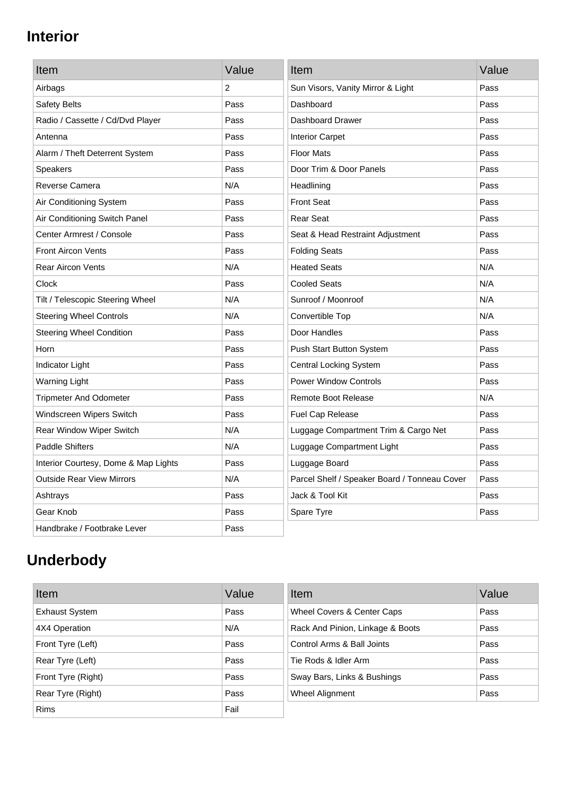## **Interior**

| Item                                 | Value | Item                                         | Value |
|--------------------------------------|-------|----------------------------------------------|-------|
| Airbags                              | 2     | Sun Visors, Vanity Mirror & Light            | Pass  |
| Safety Belts                         | Pass  | Dashboard                                    | Pass  |
| Radio / Cassette / Cd/Dvd Player     | Pass  | Dashboard Drawer                             | Pass  |
| Antenna                              | Pass  | <b>Interior Carpet</b>                       | Pass  |
| Alarm / Theft Deterrent System       | Pass  | <b>Floor Mats</b>                            | Pass  |
| <b>Speakers</b>                      | Pass  | Door Trim & Door Panels                      | Pass  |
| Reverse Camera                       | N/A   | Headlining                                   | Pass  |
| Air Conditioning System              | Pass  | <b>Front Seat</b>                            | Pass  |
| Air Conditioning Switch Panel        | Pass  | <b>Rear Seat</b>                             | Pass  |
| Center Armrest / Console             | Pass  | Seat & Head Restraint Adjustment             | Pass  |
| <b>Front Aircon Vents</b>            | Pass  | <b>Folding Seats</b>                         | Pass  |
| <b>Rear Aircon Vents</b>             | N/A   | <b>Heated Seats</b>                          | N/A   |
| Clock                                | Pass  | <b>Cooled Seats</b>                          | N/A   |
| Tilt / Telescopic Steering Wheel     | N/A   | Sunroof / Moonroof                           | N/A   |
| <b>Steering Wheel Controls</b>       | N/A   | Convertible Top                              | N/A   |
| <b>Steering Wheel Condition</b>      | Pass  | Door Handles                                 | Pass  |
| Horn                                 | Pass  | Push Start Button System                     | Pass  |
| Indicator Light                      | Pass  | <b>Central Locking System</b>                | Pass  |
| <b>Warning Light</b>                 | Pass  | <b>Power Window Controls</b>                 | Pass  |
| <b>Tripmeter And Odometer</b>        | Pass  | <b>Remote Boot Release</b>                   | N/A   |
| Windscreen Wipers Switch             | Pass  | Fuel Cap Release                             | Pass  |
| Rear Window Wiper Switch             | N/A   | Luggage Compartment Trim & Cargo Net         | Pass  |
| <b>Paddle Shifters</b>               | N/A   | Luggage Compartment Light                    | Pass  |
| Interior Courtesy, Dome & Map Lights | Pass  | Luggage Board                                | Pass  |
| <b>Outside Rear View Mirrors</b>     | N/A   | Parcel Shelf / Speaker Board / Tonneau Cover | Pass  |
| Ashtrays                             | Pass  | Jack & Tool Kit                              | Pass  |
| Gear Knob                            | Pass  | Spare Tyre                                   | Pass  |
| Handbrake / Footbrake Lever          | Pass  |                                              |       |

# **Underbody**

| Item                  | Value | Item                             | Value |
|-----------------------|-------|----------------------------------|-------|
| <b>Exhaust System</b> | Pass  | Wheel Covers & Center Caps       | Pass  |
| 4X4 Operation         | N/A   | Rack And Pinion, Linkage & Boots | Pass  |
| Front Tyre (Left)     | Pass  | Control Arms & Ball Joints       | Pass  |
| Rear Tyre (Left)      | Pass  | Tie Rods & Idler Arm             | Pass  |
| Front Tyre (Right)    | Pass  | Sway Bars, Links & Bushings      | Pass  |
| Rear Tyre (Right)     | Pass  | Wheel Alignment                  | Pass  |
| <b>Rims</b>           | Fail  |                                  |       |